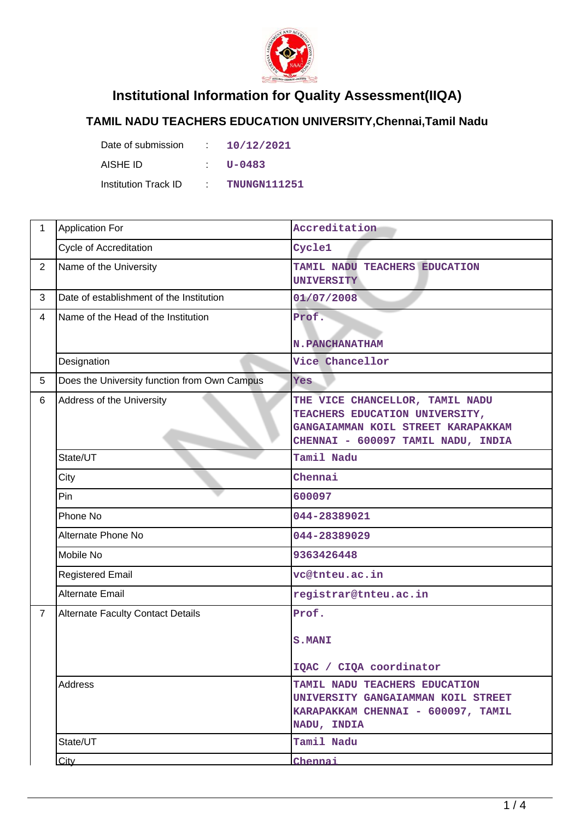

## **Institutional Information for Quality Assessment(IIQA)**

## **TAMIL NADU TEACHERS EDUCATION UNIVERSITY,Chennai,Tamil Nadu**

| Date of submission          | D.                | 10/12/2021          |
|-----------------------------|-------------------|---------------------|
| AISHE ID                    |                   | U-0483              |
| <b>Institution Track ID</b> | <b>COLLECTION</b> | <b>TNUNGN111251</b> |

| 1              | <b>Application For</b>                       | Accreditation                                                                                                                                 |
|----------------|----------------------------------------------|-----------------------------------------------------------------------------------------------------------------------------------------------|
|                | <b>Cycle of Accreditation</b>                | Cycle1                                                                                                                                        |
| $\overline{2}$ | Name of the University                       | TAMIL NADU TEACHERS EDUCATION<br>UNIVERSITY                                                                                                   |
| 3              | Date of establishment of the Institution     | 01/07/2008                                                                                                                                    |
| 4              | Name of the Head of the Institution          | Prof.<br>N. PANCHANATHAM                                                                                                                      |
|                | Designation                                  | Vice Chancellor                                                                                                                               |
| 5              | Does the University function from Own Campus | Yes                                                                                                                                           |
| 6              | Address of the University                    | THE VICE CHANCELLOR, TAMIL NADU<br>TEACHERS EDUCATION UNIVERSITY,<br>GANGAIAMMAN KOIL STREET KARAPAKKAM<br>CHENNAI - 600097 TAMIL NADU, INDIA |
|                | State/UT                                     | Tamil Nadu                                                                                                                                    |
|                | City                                         | Chennai                                                                                                                                       |
|                | Pin                                          | 600097                                                                                                                                        |
|                | Phone No                                     | 044-28389021                                                                                                                                  |
|                | Alternate Phone No                           | 044-28389029                                                                                                                                  |
|                | Mobile No                                    | 9363426448                                                                                                                                    |
|                | <b>Registered Email</b>                      | vc@tnteu.ac.in                                                                                                                                |
|                | <b>Alternate Email</b>                       | registrar@tnteu.ac.in                                                                                                                         |
| $\overline{7}$ | <b>Alternate Faculty Contact Details</b>     | Prof.<br><b>S.MANI</b><br>IQAC / CIQA coordinator                                                                                             |
|                | Address                                      | TAMIL NADU TEACHERS EDUCATION<br>UNIVERSITY GANGAIAMMAN KOIL STREET<br>KARAPAKKAM CHENNAI - 600097, TAMIL<br>NADU, INDIA                      |
|                | State/UT                                     | Tamil Nadu                                                                                                                                    |
|                | City                                         | Chennai                                                                                                                                       |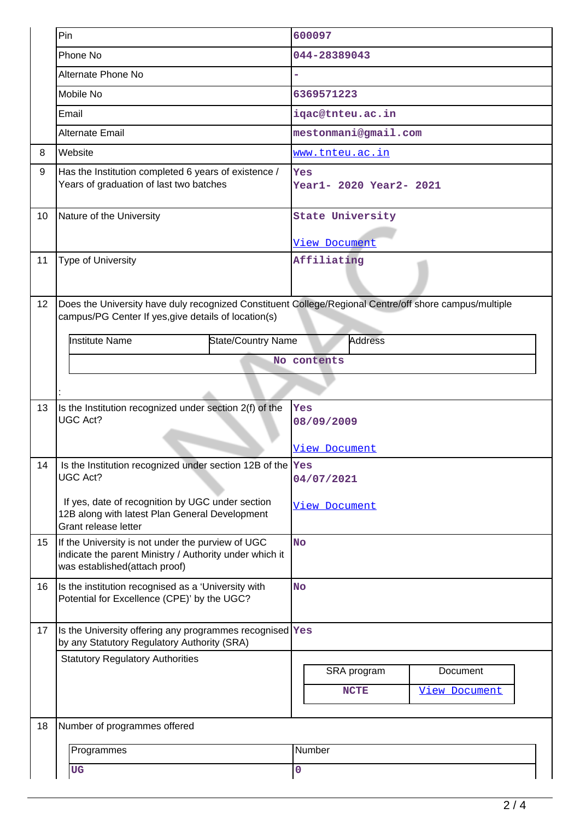|    | Pin                                                                                                                                                            | 600097                                          |  |  |
|----|----------------------------------------------------------------------------------------------------------------------------------------------------------------|-------------------------------------------------|--|--|
|    | Phone No                                                                                                                                                       | 044-28389043                                    |  |  |
|    | Alternate Phone No                                                                                                                                             | $\overline{a}$                                  |  |  |
|    | Mobile No                                                                                                                                                      | 6369571223                                      |  |  |
|    | Email                                                                                                                                                          | iqac@tnteu.ac.in                                |  |  |
|    | Alternate Email                                                                                                                                                | mestonmani@gmail.com                            |  |  |
| 8  | Website                                                                                                                                                        | www.tnteu.ac.in                                 |  |  |
| 9  | Has the Institution completed 6 years of existence /<br>Years of graduation of last two batches                                                                | <b>Yes</b><br>Year1- 2020 Year2- 2021           |  |  |
| 10 | Nature of the University                                                                                                                                       | <b>State University</b><br><b>View Document</b> |  |  |
| 11 | Type of University                                                                                                                                             | Affiliating                                     |  |  |
| 12 | Does the University have duly recognized Constituent College/Regional Centre/off shore campus/multiple<br>campus/PG Center If yes, give details of location(s) |                                                 |  |  |
|    | <b>Institute Name</b><br>State/Country Name                                                                                                                    | <b>Address</b>                                  |  |  |
|    |                                                                                                                                                                | No contents                                     |  |  |
|    |                                                                                                                                                                |                                                 |  |  |
| 13 | Is the Institution recognized under section 2(f) of the<br><b>UGC Act?</b>                                                                                     | Yes<br>08/09/2009                               |  |  |
|    |                                                                                                                                                                | <b>View Document</b>                            |  |  |
| 14 | Is the Institution recognized under section 12B of the $\gamma$ es<br><b>UGC Act?</b>                                                                          | 04/07/2021                                      |  |  |
|    | If yes, date of recognition by UGC under section<br>12B along with latest Plan General Development<br>Grant release letter                                     | <b>View Document</b>                            |  |  |
| 15 | If the University is not under the purview of UGC<br>indicate the parent Ministry / Authority under which it<br>was established(attach proof)                  | <b>No</b>                                       |  |  |
| 16 | Is the institution recognised as a 'University with<br>Potential for Excellence (CPE)' by the UGC?                                                             | <b>No</b>                                       |  |  |
| 17 | Is the University offering any programmes recognised Yes<br>by any Statutory Regulatory Authority (SRA)                                                        |                                                 |  |  |
|    | <b>Statutory Regulatory Authorities</b>                                                                                                                        | SRA program<br>Document                         |  |  |
|    |                                                                                                                                                                |                                                 |  |  |
|    |                                                                                                                                                                | <b>View Document</b><br><b>NCTE</b>             |  |  |
| 18 | Number of programmes offered                                                                                                                                   |                                                 |  |  |
|    | Programmes                                                                                                                                                     | Number                                          |  |  |
|    | <b>UG</b>                                                                                                                                                      | $\pmb{0}$                                       |  |  |
|    |                                                                                                                                                                |                                                 |  |  |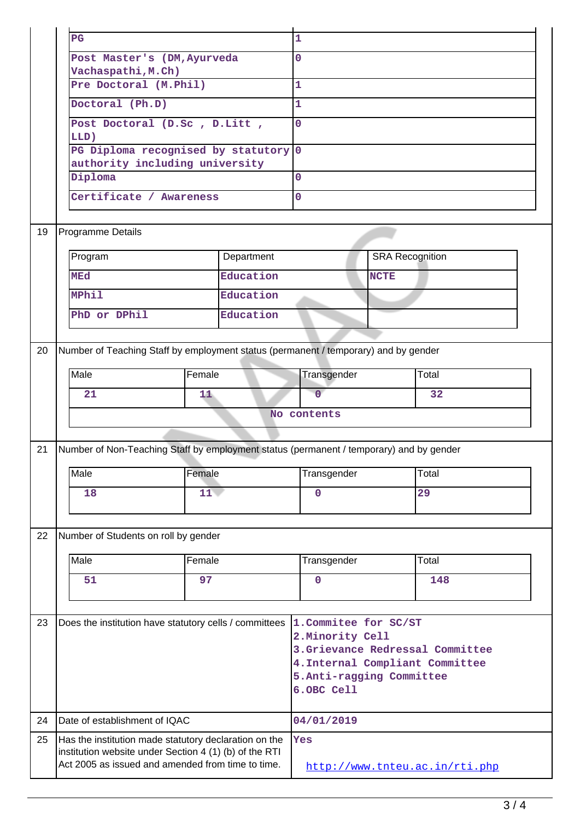|                                            | $_{\rm PG}$<br>Post Master's (DM, Ayurveda                                                                                                                                                  |                 | $\overline{1}$ |                                                                   |                        |                                  |  |
|--------------------------------------------|---------------------------------------------------------------------------------------------------------------------------------------------------------------------------------------------|-----------------|----------------|-------------------------------------------------------------------|------------------------|----------------------------------|--|
|                                            |                                                                                                                                                                                             |                 |                | $\mathbf{O}$                                                      |                        |                                  |  |
|                                            | Vachaspathi, M.Ch)<br>Pre Doctoral (M.Phil)<br>Doctoral (Ph.D)<br>Post Doctoral (D.Sc, D.Litt,<br>LLD)<br>PG Diploma recognised by statutory 0<br>authority including university<br>Diploma |                 |                | $\overline{1}$<br>$\overline{1}$<br>$\overline{0}$<br>$\mathbf 0$ |                        |                                  |  |
|                                            |                                                                                                                                                                                             |                 |                |                                                                   |                        |                                  |  |
|                                            |                                                                                                                                                                                             |                 |                |                                                                   |                        |                                  |  |
|                                            |                                                                                                                                                                                             |                 |                |                                                                   |                        |                                  |  |
|                                            |                                                                                                                                                                                             |                 |                |                                                                   |                        |                                  |  |
|                                            |                                                                                                                                                                                             |                 |                |                                                                   |                        |                                  |  |
|                                            |                                                                                                                                                                                             |                 |                |                                                                   |                        |                                  |  |
|                                            | Certificate / Awareness                                                                                                                                                                     |                 |                | $\overline{0}$                                                    |                        |                                  |  |
| 19                                         | Programme Details                                                                                                                                                                           |                 |                |                                                                   |                        |                                  |  |
|                                            | Program                                                                                                                                                                                     |                 | Department     |                                                                   | <b>SRA Recognition</b> |                                  |  |
|                                            | <b>MEd</b>                                                                                                                                                                                  |                 | Education      |                                                                   | <b>NCTE</b>            |                                  |  |
|                                            | <b>MPhil</b>                                                                                                                                                                                |                 | Education      |                                                                   |                        |                                  |  |
|                                            | PhD or DPhil                                                                                                                                                                                |                 | Education      |                                                                   |                        |                                  |  |
|                                            |                                                                                                                                                                                             |                 |                |                                                                   |                        |                                  |  |
|                                            | Male<br>21                                                                                                                                                                                  | Female<br>11    |                | Transgender<br>$\overline{0}$                                     |                        | Total<br>32                      |  |
|                                            |                                                                                                                                                                                             |                 |                |                                                                   |                        |                                  |  |
|                                            |                                                                                                                                                                                             |                 |                | No contents                                                       |                        |                                  |  |
|                                            |                                                                                                                                                                                             |                 |                |                                                                   |                        |                                  |  |
| 21                                         | Number of Non-Teaching Staff by employment status (permanent / temporary) and by gender                                                                                                     |                 |                |                                                                   |                        |                                  |  |
|                                            | Male                                                                                                                                                                                        | Female          |                | Transgender                                                       |                        | Total                            |  |
|                                            | 18                                                                                                                                                                                          | 11 <sup>7</sup> |                | $\mathbf 0$                                                       |                        | 29                               |  |
|                                            |                                                                                                                                                                                             |                 |                |                                                                   |                        |                                  |  |
| 22<br>Number of Students on roll by gender |                                                                                                                                                                                             |                 |                |                                                                   |                        |                                  |  |
|                                            |                                                                                                                                                                                             |                 |                |                                                                   |                        |                                  |  |
|                                            | Male                                                                                                                                                                                        | Female          |                | Transgender                                                       |                        | Total                            |  |
|                                            | 51                                                                                                                                                                                          | 97              |                | $\mathbf 0$                                                       |                        | 148                              |  |
|                                            |                                                                                                                                                                                             |                 |                |                                                                   |                        |                                  |  |
|                                            | Does the institution have statutory cells / committees                                                                                                                                      |                 |                | 1. Commitee for SC/ST                                             |                        |                                  |  |
|                                            |                                                                                                                                                                                             |                 |                | 2. Minority Cell                                                  |                        |                                  |  |
|                                            |                                                                                                                                                                                             |                 |                |                                                                   |                        | 3. Grievance Redressal Committee |  |
|                                            |                                                                                                                                                                                             |                 |                |                                                                   |                        | 4. Internal Compliant Committee  |  |
|                                            |                                                                                                                                                                                             |                 |                | 5. Anti-ragging Committee<br>6.OBC Cell                           |                        |                                  |  |
|                                            |                                                                                                                                                                                             |                 |                |                                                                   |                        |                                  |  |
|                                            | Date of establishment of IQAC                                                                                                                                                               |                 |                | 04/01/2019                                                        |                        |                                  |  |
| 23<br>24<br>25                             | Has the institution made statutory declaration on the                                                                                                                                       |                 |                | Yes                                                               |                        |                                  |  |
|                                            | institution website under Section 4 (1) (b) of the RTI<br>Act 2005 as issued and amended from time to time.                                                                                 |                 |                |                                                                   |                        | http://www.tnteu.ac.in/rti.php   |  |